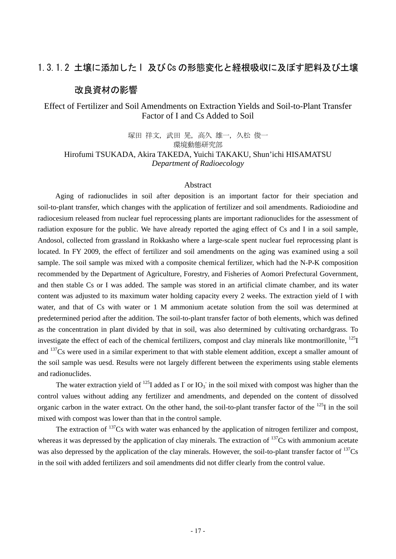# 1.3.1.2 土壌に添加した I 及び Cs の形態変化と経根吸収に及ぼす肥料及び土壌

## 改良資材の影響

# Effect of Fertilizer and Soil Amendments on Extraction Yields and Soil-to-Plant Transfer Factor of I and Cs Added to Soil

塚田 祥文, 武田 晃, 高久 雄一, 久松 俊一 環境動態研究部 Hirofumi TSUKADA, Akira TAKEDA, Yuichi TAKAKU, Shun'ichi HISAMATSU *Department of Radioecology* 

### Abstract

 Aging of radionuclides in soil after deposition is an important factor for their speciation and soil-to-plant transfer, which changes with the application of fertilizer and soil amendments. Radioiodine and radiocesium released from nuclear fuel reprocessing plants are important radionuclides for the assessment of radiation exposure for the public. We have already reported the aging effect of Cs and I in a soil sample, Andosol, collected from grassland in Rokkasho where a large-scale spent nuclear fuel reprocessing plant is located. In FY 2009, the effect of fertilizer and soil amendments on the aging was examined using a soil sample. The soil sample was mixed with a composite chemical fertilizer, which had the N-P-K composition recommended by the Department of Agriculture, Forestry, and Fisheries of Aomori Prefectural Government, and then stable Cs or I was added. The sample was stored in an artificial climate chamber, and its water content was adjusted to its maximum water holding capacity every 2 weeks. The extraction yield of I with water, and that of Cs with water or 1 M ammonium acetate solution from the soil was determined at predetermined period after the addition. The soil-to-plant transfer factor of both elements, which was defined as the concentration in plant divided by that in soil, was also determined by cultivating orchardgrass. To investigate the effect of each of the chemical fertilizers, compost and clay minerals like montmorillonite, <sup>125</sup>I and <sup>137</sup>Cs were used in a similar experiment to that with stable element addition, except a smaller amount of the soil sample was uesd. Results were not largely different between the experiments using stable elements and radionuclides.

The water extraction yield of <sup>125</sup>I added as  $\Gamma$  or  $IO_3^-$  in the soil mixed with compost was higher than the control values without adding any fertilizer and amendments, and depended on the content of dissolved organic carbon in the water extract. On the other hand, the soil-to-plant transfer factor of the <sup>125</sup>I in the soil mixed with compost was lower than that in the control sample.

The extraction of  $137$ Cs with water was enhanced by the application of nitrogen fertilizer and compost, whereas it was depressed by the application of clay minerals. The extraction of <sup>137</sup>Cs with ammonium acetate was also depressed by the application of the clay minerals. However, the soil-to-plant transfer factor of  $^{137}Cs$ in the soil with added fertilizers and soil amendments did not differ clearly from the control value.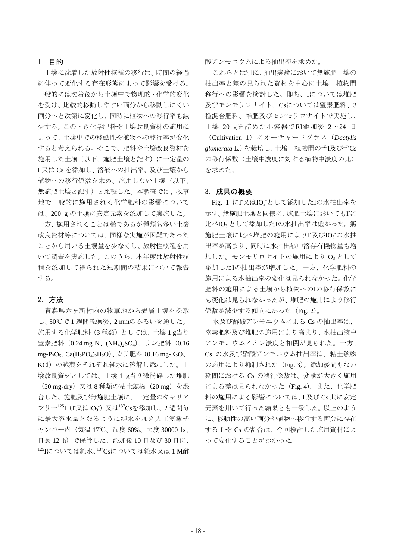### 1. 目的

 土壌に沈着した放射性核種の移行は、時間の経過 に伴って変化する存在形態によって影響を受ける。 一般的には沈着後から土壌中で物理的・化学的変化 を受け、比較的移動しやすい画分から移動しにくい 画分へと次第に変化し、同時に植物への移行率も減 少する。このとき化学肥料や土壌改良資材の施用に よって、土壌中での移動性や植物への移行率が変化 すると考えられる。そこで、肥料や土壌改良資材を 施用した土壌(以下、施肥土壌と記す)に一定量の I 又は Cs を添加し、溶液への抽出率、及び土壌から 植物への移行係数を求め、施用しない土壌(以下、 無施肥土壌と記す)と比較した。本調査では、牧草 地で一般的に施用される化学肥料の影響について は、200 g の土壌に安定元素を添加して実施した。 一方、施用されることは稀であるが種類も多い土壌 改良資材等については、同様な実施が困難であった ことから用いる土壌量を少なくし、放射性核種を用 いて調査を実施した。このうち、本年度は放射性核 種を添加して得られた短期間の結果について報告 する。

### 2. 方法

青森県六ヶ所村内の牧草地から表層土壌を採取 し、50℃で 1 週間乾燥後、2 mmのふるいを通した。 施用する化学肥料(3 種類)としては、土壌 1 g当り 窒素肥料 (0.24 mg-N、(NH<sub>4</sub>)<sub>2</sub>SO<sub>4</sub>)、リン肥料 (0.16 mg-P<sub>2</sub>O<sub>5</sub>、Ca(H<sub>2</sub>PO<sub>4</sub>)<sub>2</sub>H<sub>2</sub>O)、カリ肥料(0.16 mg-K<sub>2</sub>O、 KCl)の試薬をそれぞれ純水に溶解し添加した。土 壌改良資材としては、土壌 1 g当り微粉砕した堆肥 (50 mg-dry)又は 8 種類の粘土鉱物(20 mg)を混 合した。施肥及び無施肥土壌に、一定量のキャリア フリー<sup>125</sup>I (I又はIO<sub>3</sub>) 又は<sup>137</sup>Csを添加し、2 週間毎 に最大容水量となるように純水を加え人工気象チ ャンバー内(気温 17℃、湿度 60%、照度 30000 lx、 日長 12 h)で保管した。添加後 10 日及び 30 日に、 125Iについては純水、137Csについては純水又は1M酢 酸アンモニウムによる抽出率を求めた。

これらとは別に、抽出実験において無施肥土壌の 抽出率と差の見られた資材を中心に土壌-植物間 移行への影響を検討した。即ち、Iについては堆肥 及びモンモリロナイト、Csについては窒素肥料、3 種混合肥料、堆肥及びモンモリロナイトで実施し、 土壌 20 gを詰めた小容器でRI添加後 2~24 日

(Cultivation 1)にオーチャードグラス(*Dactylis glomerata* L.)を栽培し、土壌-植物間の125I及び137Cs の移行係数(土壌中濃度に対する植物中濃度の比) を求めた。

#### 3. 成果の概要

Fig. 1 にI又はIO<sub>3</sub>として添加したIの水抽出率を 示す。無施肥土壌と同様に、施肥土壌においてもIに 比べIO<sub>3</sub>として添加したIの水抽出率は低かった。無 施肥土壌に比べ堆肥の施用によりI及びIO<sub>3</sub>の水抽 出率が高まり、同時に水抽出液中溶存有機物量も増 加した。モンモリロナイトの施用によりIO<sub>3</sub>として 添加したIの抽出率が増加した。一方、化学肥料の 施用による水抽出率の変化は見られなかった。化学 肥料の施用による土壌から植物へのIの移行係数に も変化は見られなかったが、堆肥の施用により移行 係数が減少する傾向にあった (Fig. 2)。

水及び酢酸アンモニウムによる Cs の抽出率は、 窒素肥料及び堆肥の施用により高まり、水抽出液中 アンモニウムイオン濃度と相関が見られた。一方、 Cs の水及び酢酸アンモニウム抽出率は、粘土鉱物 の施用により抑制された (Fig. 3)。添加後間もない 期間における Cs の移行係数は、変動が大きく施用 による差は見られなかった(Fig. 4)。また、化学肥 料の施用による影響については、I 及び Cs 共に安定 元素を用いて行った結果とも一致した。以上のよう に、移動性の高い画分や植物へ移行する画分に存在 する I や Cs の割合は、今回検討した施用資材によ って変化することがわかった。